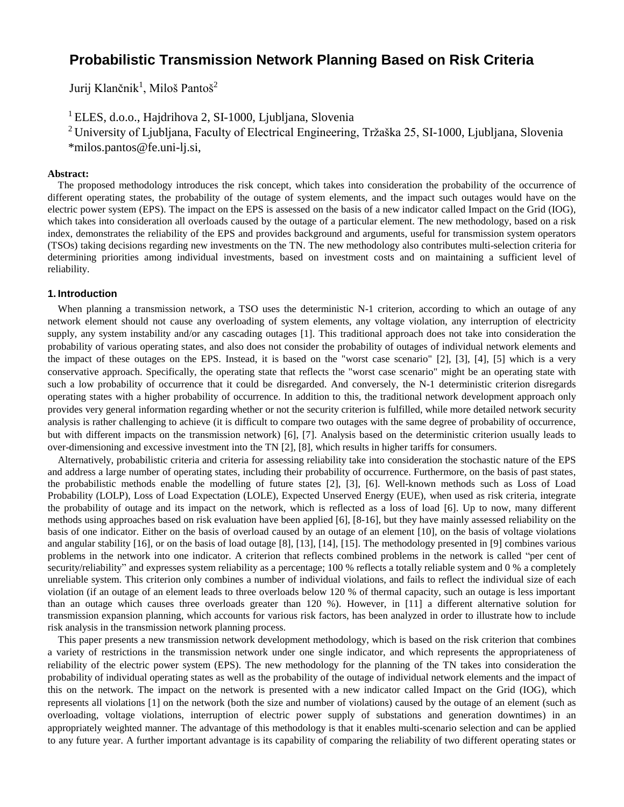# **Probabilistic Transmission Network Planning Based on Risk Criteria**

Jurij Klančnik<sup>1</sup>, Miloš Pantoš<sup>2</sup>

<sup>1</sup> ELES, d.o.o., Hajdrihova 2, SI-1000, Ljubljana, Slovenia

<sup>2</sup> University of Ljubljana, Faculty of Electrical Engineering, Tržaška 25, SI-1000, Ljubljana, Slovenia

\*milos.pantos@fe.uni-lj.si,

## **Abstract:**

The proposed methodology introduces the risk concept, which takes into consideration the probability of the occurrence of different operating states, the probability of the outage of system elements, and the impact such outages would have on the electric power system (EPS). The impact on the EPS is assessed on the basis of a new indicator called Impact on the Grid (IOG), which takes into consideration all overloads caused by the outage of a particular element. The new methodology, based on a risk index, demonstrates the reliability of the EPS and provides background and arguments, useful for transmission system operators (TSOs) taking decisions regarding new investments on the TN. The new methodology also contributes multi-selection criteria for determining priorities among individual investments, based on investment costs and on maintaining a sufficient level of reliability.

# **1. Introduction**

When planning a transmission network, a TSO uses the deterministic N-1 criterion, according to which an outage of any network element should not cause any overloading of system elements, any voltage violation, any interruption of electricity supply, any system instability and/or any cascading outages [\[1\].](#page-10-0) This traditional approach does not take into consideration the probability of various operating states, and also does not consider the probability of outages of individual network elements and the impact of these outages on the EPS. Instead, it is based on the "worst case scenario" [\[2\],](#page-10-1) [\[3\],](#page-10-2) [\[4\],](#page-10-3) [\[5\]](#page-10-4) which is a very conservative approach. Specifically, the operating state that reflects the "worst case scenario" might be an operating state with such a low probability of occurrence that it could be disregarded. And conversely, the N-1 deterministic criterion disregards operating states with a higher probability of occurrence. In addition to this, the traditional network development approach only provides very general information regarding whether or not the security criterion is fulfilled, while more detailed network security analysis is rather challenging to achieve (it is difficult to compare two outages with the same degree of probability of occurrence, but with different impacts on the transmission network) [\[6\],](#page-10-5) [\[7\].](#page-11-0) Analysis based on the deterministic criterion usually leads to over-dimensioning and excessive investment into the TN [\[2\],](#page-10-1) [\[8\],](#page-11-1) which results in higher tariffs for consumers.

Alternatively, probabilistic criteria and criteria for assessing reliability take into consideration the stochastic nature of the EPS and address a large number of operating states, including their probability of occurrence. Furthermore, on the basis of past states, the probabilistic methods enable the modelling of future states [\[2\],](#page-10-1) [\[3\],](#page-10-2) [\[6\].](#page-10-5) Well-known methods such as Loss of Load Probability (LOLP), Loss of Load Expectation (LOLE), Expected Unserved Energy (EUE), when used as risk criteria, integrate the probability of outage and its impact on the network, which is reflected as a loss of load [\[6\].](#page-10-5) Up to now, many different methods using approaches based on risk evaluation have been applied [\[6\],](#page-10-5) [8-16], but they have mainly assessed reliability on the basis of one indicator. Either on the basis of overload caused by an outage of an element [\[10\],](#page-11-2) on the basis of voltage violations and angular stability [\[16\],](#page-11-3) or on the basis of load outage [\[8\],](#page-11-1) [\[13\],](#page-11-4) [14], [\[15\].](#page-11-5) The methodology presented in [\[9\]](#page-11-6) combines various problems in the network into one indicator. A criterion that reflects combined problems in the network is called "per cent of security/reliability" and expresses system reliability as a percentage; 100 % reflects a totally reliable system and 0 % a completely unreliable system. This criterion only combines a number of individual violations, and fails to reflect the individual size of each violation (if an outage of an element leads to three overloads below 120 % of thermal capacity, such an outage is less important than an outage which causes three overloads greater than 120 %). However, in [\[11\]](#page-11-7) a different alternative solution for transmission expansion planning, which accounts for various risk factors, has been analyzed in order to illustrate how to include risk analysis in the transmission network planning process.

This paper presents a new transmission network development methodology, which is based on the risk criterion that combines a variety of restrictions in the transmission network under one single indicator, and which represents the appropriateness of reliability of the electric power system (EPS). The new methodology for the planning of the TN takes into consideration the probability of individual operating states as well as the probability of the outage of individual network elements and the impact of this on the network. The impact on the network is presented with a new indicator called Impact on the Grid (IOG), which represents all violations [\[1\]](#page-10-0) on the network (both the size and number of violations) caused by the outage of an element (such as overloading, voltage violations, interruption of electric power supply of substations and generation downtimes) in an appropriately weighted manner. The advantage of this methodology is that it enables multi-scenario selection and can be applied to any future year. A further important advantage is its capability of comparing the reliability of two different operating states or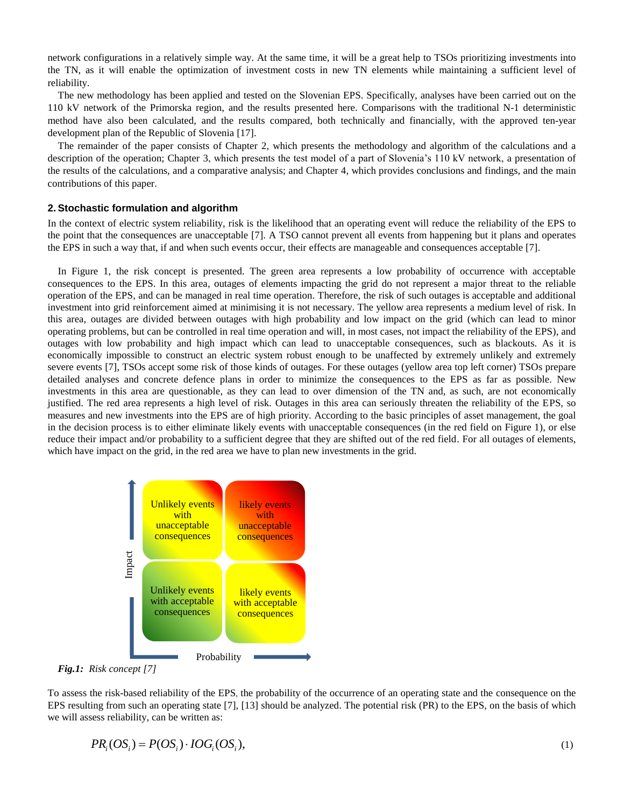network configurations in a relatively simple way. At the same time, it will be a great help to TSOs prioritizing investments into the TN, as it will enable the optimization of investment costs in new TN elements while maintaining a sufficient level of reliability.

The new methodology has been applied and tested on the Slovenian EPS. Specifically, analyses have been carried out on the 110 kV network of the Primorska region, and the results presented here. Comparisons with the traditional N-1 deterministic method have also been calculated, and the results compared, both technically and financially, with the approved ten-year development plan of the Republic of Slovenia [\[17\].](#page-11-8)

The remainder of the paper consists of Chapter 2, which presents the methodology and algorithm of the calculations and a description of the operation; Chapter 3, which presents the test model of a part of Slovenia's 110 kV network, a presentation of the results of the calculations, and a comparative analysis; and Chapter 4, which provides conclusions and findings, and the main contributions of this paper.

# **2. Stochastic formulation and algorithm**

In the context of electric system reliability, risk is the likelihood that an operating event will reduce the reliability of the EPS to the point that the consequences are unacceptable [\[7\].](#page-11-0) A TSO cannot prevent all events from happening but it plans and operates the EPS in such a way that, if and when such events occur, their effects are manageable and consequences acceptable [\[7\].](#page-11-0)

In Figure 1, the risk concept is presented. The green area represents a low probability of occurrence with acceptable consequences to the EPS. In this area, outages of elements impacting the grid do not represent a major threat to the reliable operation of the EPS, and can be managed in real time operation. Therefore, the risk of such outages is acceptable and additional investment into grid reinforcement aimed at minimising it is not necessary. The yellow area represents a medium level of risk. In this area, outages are divided between outages with high probability and low impact on the grid (which can lead to minor operating problems, but can be controlled in real time operation and will, in most cases, not impact the reliability of the EPS), and outages with low probability and high impact which can lead to unacceptable consequences, such as blackouts. As it is economically impossible to construct an electric system robust enough to be unaffected by extremely unlikely and extremely severe events [\[7\],](#page-11-0) TSOs accept some risk of those kinds of outages. For these outages (yellow area top left corner) TSOs prepare detailed analyses and concrete defence plans in order to minimize the consequences to the EPS as far as possible. New investments in this area are questionable, as they can lead to over dimension of the TN and, as such, are not economically justified. The red area represents a high level of risk. Outages in this area can seriously threaten the reliability of the EPS, so measures and new investments into the EPS are of high priority. According to the basic principles of asset management, the goal in the decision process is to either eliminate likely events with unacceptable consequences (in the red field on Figure 1), or else reduce their impact and/or probability to a sufficient degree that they are shifted out of the red field. For all outages of elements, which have impact on the grid, in the red area we have to plan new investments in the grid.



*Fig.1: Risk concep[t \[7\]](#page-11-0)*

To assess the risk-based reliability of the EPS, the probability of the occurrence of an operating state and the consequence on the EPS resulting from such an operating state [\[7\],](#page-11-0) [\[13\]](#page-11-4) should be analyzed. The potential risk (PR) to the EPS, on the basis of which we will assess reliability, can be written as:

$$
PR_i(OS_i) = P(OS_i) \cdot IOG_i(OS_i),
$$
\n<sup>(1)</sup>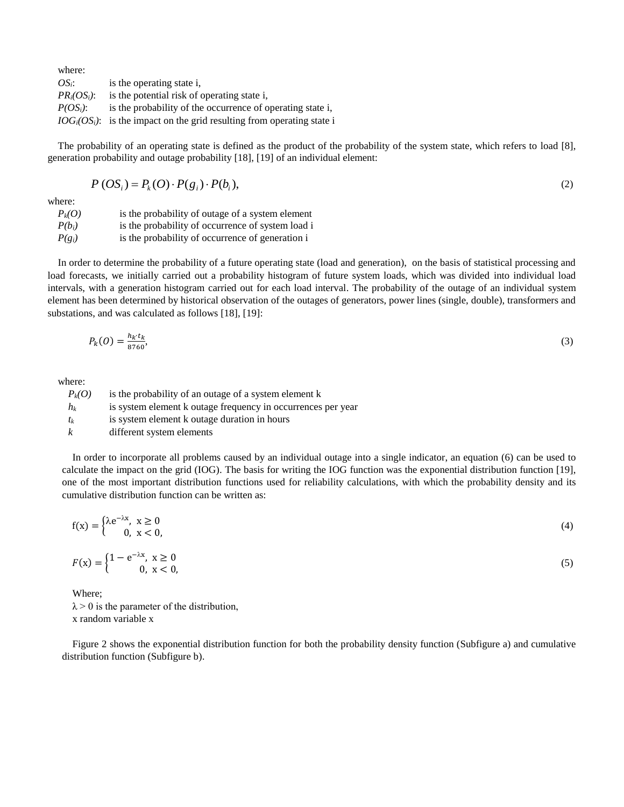| where:        |                                                                            |
|---------------|----------------------------------------------------------------------------|
| OS:           | is the operating state i.                                                  |
| $PR_iOS_i)$ : | is the potential risk of operating state i.                                |
| $P(OS_i)$ :   | is the probability of the occurrence of operating state i.                 |
|               | $IOG_i(OS_i)$ : is the impact on the grid resulting from operating state i |

The probability of an operating state is defined as the product of the probability of the system state, which refers to load [\[8\],](#page-11-1) generation probability and outage probability [\[18\],](#page-11-9) [\[19\]](#page-11-10) of an individual element:

$$
P\left(OS_i\right) = P_k(O) \cdot P(g_i) \cdot P(b_i),\tag{2}
$$

where:

| $P_k(O)$ | is the probability of outage of a system element   |
|----------|----------------------------------------------------|
| $P(b_i)$ | is the probability of occurrence of system load is |
| $P(g_i)$ | is the probability of occurrence of generation i   |

In order to determine the probability of a future operating state (load and generation), on the basis of statistical processing and load forecasts, we initially carried out a probability histogram of future system loads, which was divided into individual load intervals, with a generation histogram carried out for each load interval. The probability of the outage of an individual system element has been determined by historical observation of the outages of generators, power lines (single, double), transformers and substations, and was calculated as follows [\[18\],](#page-11-9) [\[19\]:](#page-11-10)

$$
P_k(0) = \frac{h_k t_k}{8760},\tag{3}
$$

where:

 $P_k(O)$  is the probability of an outage of a system element k *h<sup>k</sup>* is system element k outage frequency in occurrences per year *t<sup>k</sup>* is system element k outage duration in hours *k* different system elements

In order to incorporate all problems caused by an individual outage into a single indicator, an equation (6) can be used to calculate the impact on the grid (IOG). The basis for writing the IOG function was the exponential distribution function [\[19\],](#page-11-10) one of the most important distribution functions used for reliability calculations, with which the probability density and its cumulative distribution function can be written as:

$$
f(x) = \begin{cases} \lambda e^{-\lambda x}, & x \ge 0 \\ 0, & x < 0, \end{cases}
$$
(4)  

$$
F(x) = \begin{cases} 1 - e^{-\lambda x}, & x \ge 0 \\ 0, & x < 0, \end{cases}
$$
(5)

Where;

 $\lambda$  > 0 is the parameter of the distribution, x random variable x

Figure 2 shows the exponential distribution function for both the probability density function (Subfigure a) and cumulative distribution function (Subfigure b).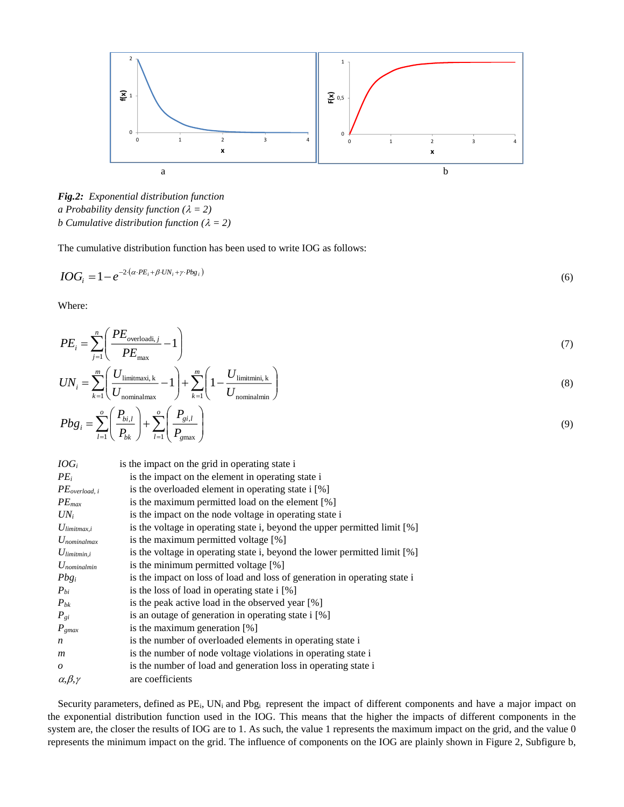

*Fig.2: Exponential distribution function a Probability density function* ( $\lambda = 2$ ) *b* Cumulative distribution function ( $\lambda = 2$ )

The cumulative distribution function has been used to write IOG as follows:

$$
IOG_i = 1 - e^{-2\cdot(\alpha \cdot PE_i + \beta \cdot UN_i + \gamma \cdot Pbg_i)}
$$
\n
$$
(6)
$$

Where:

$$
PE_i = \sum_{j=1}^{n} \left( \frac{PE_{\text{overloadi}, j}}{PE_{\text{max}}} - 1 \right)
$$
 (7)

$$
UN_i = \sum_{k=1}^{m} \left( \frac{U_{\text{limitmaxi,k}}}{U_{\text{nominalmax}}} - 1 \right) + \sum_{k=1}^{m} \left( 1 - \frac{U_{\text{limitmini,k}}}{U_{\text{nominalmin}}} \right)
$$
\n
$$
Phg_i = \sum_{k=1}^{o} \left( \frac{P_{bi,i}}{P}\right) + \sum_{k=1}^{o} \left( \frac{P_{gi,i}}{P}\right)
$$
\n(9)

$$
Pb_{g_i} = \sum_{l=1}^{o} \left( \frac{P_{bi,l}}{P_{bk}} \right) + \sum_{l=1}^{o} \left( \frac{P_{gi,l}}{P_{gmax}} \right)
$$
(9)

| $IOG_i$                 | is the impact on the grid in operating state i                            |
|-------------------------|---------------------------------------------------------------------------|
| $PE_i$                  | is the impact on the element in operating state i                         |
| $PE_{overload, i}$      | is the overloaded element in operating state i [%]                        |
| $PE_{max}$              | is the maximum permitted load on the element [%]                          |
| $UN_i$                  | is the impact on the node voltage in operating state i                    |
| $U_{limitmax,i}$        | is the voltage in operating state i, beyond the upper permitted limit [%] |
| $U_{nominalmax}$        | is the maximum permitted voltage [%]                                      |
| $U_{limitmin,i}$        | is the voltage in operating state i, beyond the lower permitted limit [%] |
| $U_{nominalmin}$        | is the minimum permitted voltage [%]                                      |
| $Pb_{i}$                | is the impact on loss of load and loss of generation in operating state i |
| $P_{bi}$                | is the loss of load in operating state $i$ [%]                            |
| $P_{bk}$                | is the peak active load in the observed year [%]                          |
| $P_{gi}$                | is an outage of generation in operating state i [%]                       |
| $P_{\text{gmax}}$       | is the maximum generation $[%]$                                           |
| n                       | is the number of overloaded elements in operating state i                 |
| m                       | is the number of node voltage violations in operating state i             |
| $\boldsymbol{o}$        | is the number of load and generation loss in operating state i            |
| $\alpha, \beta, \gamma$ | are coefficients                                                          |

Security parameters, defined as PE<sub>i</sub>, UN<sub>i</sub> and Pbg<sub>i</sub> represent the impact of different components and have a major impact on the exponential distribution function used in the IOG. This means that the higher the impacts of different components in the system are, the closer the results of IOG are to 1. As such, the value 1 represents the maximum impact on the grid, and the value 0 represents the minimum impact on the grid. The influence of components on the IOG are plainly shown in Figure 2, Subfigure b,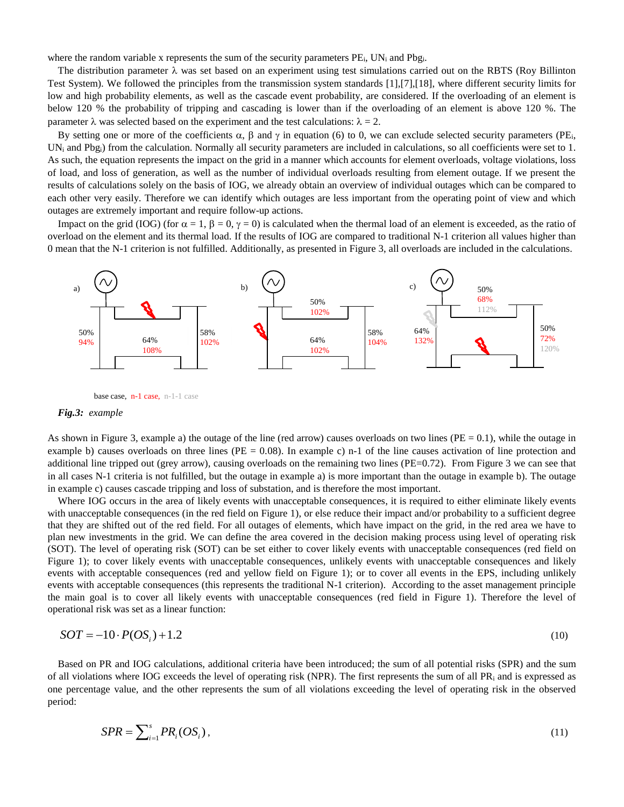where the random variable x represents the sum of the security parameters  $PE_i$ ,  $UN_i$  and  $Pbg_i$ .

The distribution parameter  $\lambda$  was set based on an experiment using test simulations carried out on the RBTS (Roy Billinton Test System). We followed the principles from the transmission system standards [\[1\],](#page-10-0)[\[7\]](#page-11-0)[,\[18\],](#page-11-9) where different security limits for low and high probability elements, as well as the cascade event probability, are considered. If the overloading of an element is below 120 % the probability of tripping and cascading is lower than if the overloading of an element is above 120 %. The parameter  $\lambda$  was selected based on the experiment and the test calculations:  $\lambda = 2$ .

By setting one or more of the coefficients  $\alpha$ ,  $\beta$  and  $\gamma$  in equation (6) to 0, we can exclude selected security parameters (PE<sub>i</sub>,  $UN_i$  and Pbg<sub>i</sub>) from the calculation. Normally all security parameters are included in calculations, so all coefficients were set to 1. As such, the equation represents the impact on the grid in a manner which accounts for element overloads, voltage violations, loss of load, and loss of generation, as well as the number of individual overloads resulting from element outage. If we present the results of calculations solely on the basis of IOG, we already obtain an overview of individual outages which can be compared to each other very easily. Therefore we can identify which outages are less important from the operating point of view and which outages are extremely important and require follow-up actions.

Impact on the grid (IOG) (for  $\alpha = 1$ ,  $\beta = 0$ ,  $\gamma = 0$ ) is calculated when the thermal load of an element is exceeded, as the ratio of overload on the element and its thermal load. If the results of IOG are compared to traditional N-1 criterion all values higher than 0 mean that the N-1 criterion is not fulfilled. Additionally, as presented in Figure 3, all overloads are included in the calculations.



base case, n-1 case, n-1-1 case

#### *Fig.3: example*

As shown in Figure 3, example a) the outage of the line (red arrow) causes overloads on two lines ( $PE = 0.1$ ), while the outage in example b) causes overloads on three lines ( $PE = 0.08$ ). In example c) n-1 of the line causes activation of line protection and additional line tripped out (grey arrow), causing overloads on the remaining two lines (PE=0.72). From Figure 3 we can see that in all cases N-1 criteria is not fulfilled, but the outage in example a) is more important than the outage in example b). The outage in example c) causes cascade tripping and loss of substation, and is therefore the most important.

Where IOG occurs in the area of likely events with unacceptable consequences, it is required to either eliminate likely events with unacceptable consequences (in the red field on Figure 1), or else reduce their impact and/or probability to a sufficient degree that they are shifted out of the red field. For all outages of elements, which have impact on the grid, in the red area we have to plan new investments in the grid. We can define the area covered in the decision making process using level of operating risk (SOT). The level of operating risk (SOT) can be set either to cover likely events with unacceptable consequences (red field on Figure 1); to cover likely events with unacceptable consequences, unlikely events with unacceptable consequences and likely events with acceptable consequences (red and yellow field on Figure 1); or to cover all events in the EPS, including unlikely events with acceptable consequences (this represents the traditional N-1 criterion). According to the asset management principle the main goal is to cover all likely events with unacceptable consequences (red field in Figure 1). Therefore the level of operational risk was set as a linear function:

$$
SOT = -10 \cdot P(OS_i) + 1.2 \tag{10}
$$

Based on PR and IOG calculations, additional criteria have been introduced; the sum of all potential risks (SPR) and the sum of all violations where IOG exceeds the level of operating risk (NPR). The first represents the sum of all PR<sup>i</sup> and is expressed as one percentage value, and the other represents the sum of all violations exceeding the level of operating risk in the observed period:

$$
SPR = \sum_{i=1}^{s} PR_i (OS_i), \tag{11}
$$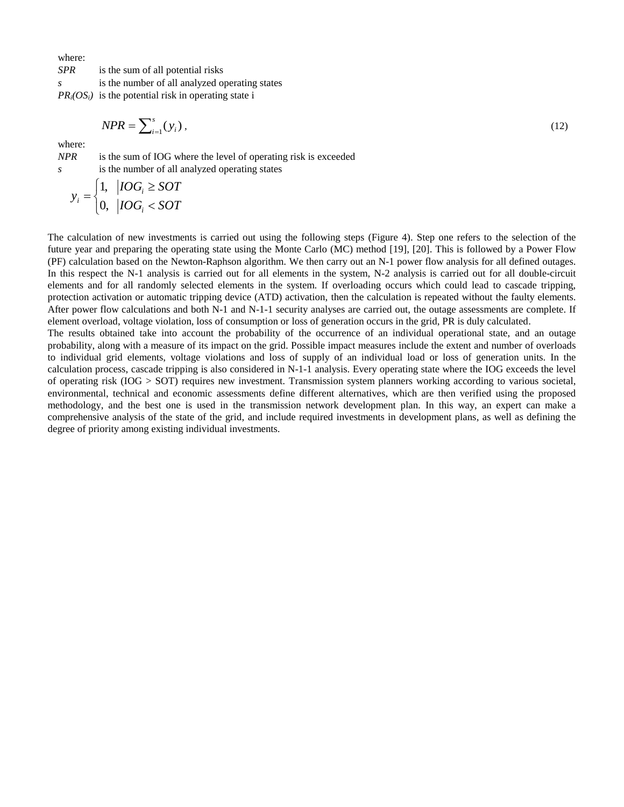where:

*SPR* is the sum of all potential risks *s* is the number of all analyzed operating states  $PR_i(OS_i)$  is the potential risk in operating state i

$$
NPR = \sum_{i=1}^{s} (y_i), \qquad (12)
$$

where:

*NPR* is the sum of IOG where the level of operating risk is exceeded *s* is the number of all analyzed operating states

$$
y_i = \begin{cases} 1, & |IOG_i \geq SOT \\ 0, & |IOG_i < SOT \end{cases}
$$

The calculation of new investments is carried out using the following steps (Figure 4). Step one refers to the selection of the future year and preparing the operating state using the Monte Carlo (MC) method [\[19\],](#page-11-10) [\[20\].](#page-11-11) This is followed by a Power Flow (PF) calculation based on the Newton-Raphson algorithm. We then carry out an N-1 power flow analysis for all defined outages. In this respect the N-1 analysis is carried out for all elements in the system, N-2 analysis is carried out for all double-circuit elements and for all randomly selected elements in the system. If overloading occurs which could lead to cascade tripping, protection activation or automatic tripping device (ATD) activation, then the calculation is repeated without the faulty elements. After power flow calculations and both N-1 and N-1-1 security analyses are carried out, the outage assessments are complete. If element overload, voltage violation, loss of consumption or loss of generation occurs in the grid, PR is duly calculated.

The results obtained take into account the probability of the occurrence of an individual operational state, and an outage probability, along with a measure of its impact on the grid. Possible impact measures include the extent and number of overloads to individual grid elements, voltage violations and loss of supply of an individual load or loss of generation units. In the calculation process, cascade tripping is also considered in N-1-1 analysis. Every operating state where the IOG exceeds the level of operating risk (IOG > SOT) requires new investment. Transmission system planners working according to various societal, environmental, technical and economic assessments define different alternatives, which are then verified using the proposed methodology, and the best one is used in the transmission network development plan. In this way, an expert can make a comprehensive analysis of the state of the grid, and include required investments in development plans, as well as defining the degree of priority among existing individual investments.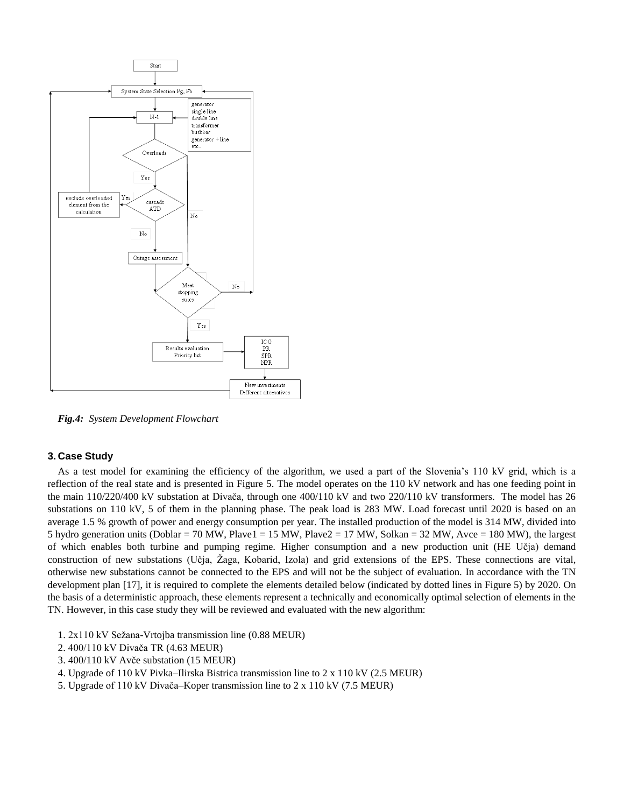

*Fig.4: System Development Flowchart*

# **3. Case Study**

As a test model for examining the efficiency of the algorithm, we used a part of the Slovenia's 110 kV grid, which is a reflection of the real state and is presented in Figure 5. The model operates on the 110 kV network and has one feeding point in the main 110/220/400 kV substation at Divača, through one 400/110 kV and two 220/110 kV transformers. The model has 26 substations on 110 kV, 5 of them in the planning phase. The peak load is 283 MW. Load forecast until 2020 is based on an average 1.5 % growth of power and energy consumption per year. The installed production of the model is 314 MW, divided into 5 hydro generation units (Doblar = 70 MW, Plave1 = 15 MW, Plave2 = 17 MW, Solkan = 32 MW, Avce = 180 MW), the largest of which enables both turbine and pumping regime. Higher consumption and a new production unit (HE Učja) demand construction of new substations (Učja, Žaga, Kobarid, Izola) and grid extensions of the EPS. These connections are vital, otherwise new substations cannot be connected to the EPS and will not be the subject of evaluation. In accordance with the TN development plan [\[17\],](#page-11-8) it is required to complete the elements detailed below (indicated by dotted lines in Figure 5) by 2020. On the basis of a deterministic approach, these elements represent a technically and economically optimal selection of elements in the TN. However, in this case study they will be reviewed and evaluated with the new algorithm:

- 1. 2x110 kV Sežana-Vrtojba transmission line (0.88 MEUR)
- 2. 400/110 kV Divača TR (4.63 MEUR)
- 3. 400/110 kV Avče substation (15 MEUR)
- 4. Upgrade of 110 kV Pivka–Ilirska Bistrica transmission line to 2 x 110 kV (2.5 MEUR)
- 5. Upgrade of 110 kV Divača–Koper transmission line to 2 x 110 kV (7.5 MEUR)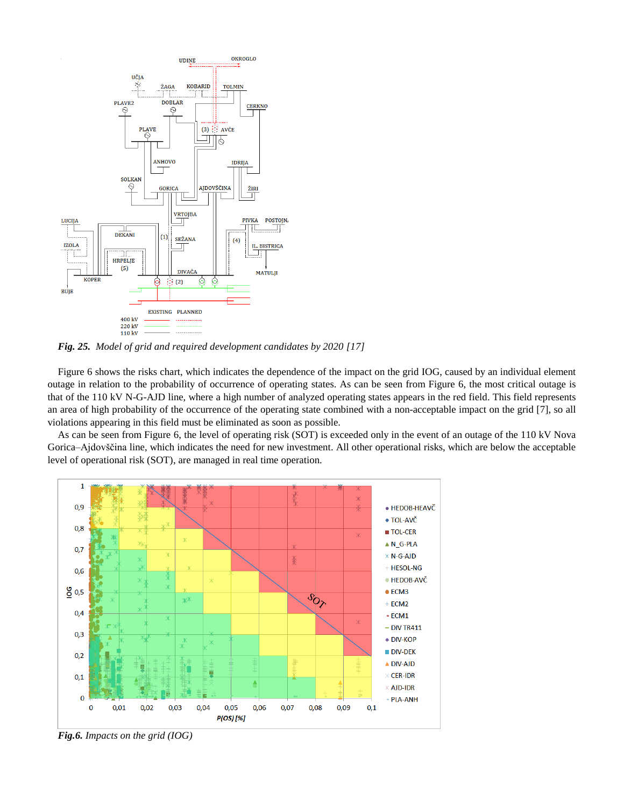

*Fig. 25. Model of grid and required development candidates by 2020 [\[17\]](#page-11-8)*

Figure 6 shows the risks chart, which indicates the dependence of the impact on the grid IOG, caused by an individual element outage in relation to the probability of occurrence of operating states. As can be seen from Figure 6, the most critical outage is that of the 110 kV N-G-AJD line, where a high number of analyzed operating states appears in the red field. This field represents an area of high probability of the occurrence of the operating state combined with a non-acceptable impact on the grid [\[7\],](#page-11-0) so all violations appearing in this field must be eliminated as soon as possible.

As can be seen from Figure 6, the level of operating risk (SOT) is exceeded only in the event of an outage of the 110 kV Nova Gorica–Ajdovščina line, which indicates the need for new investment. All other operational risks, which are below the acceptable level of operational risk (SOT), are managed in real time operation.



*Fig.6. Impacts on the grid (IOG)*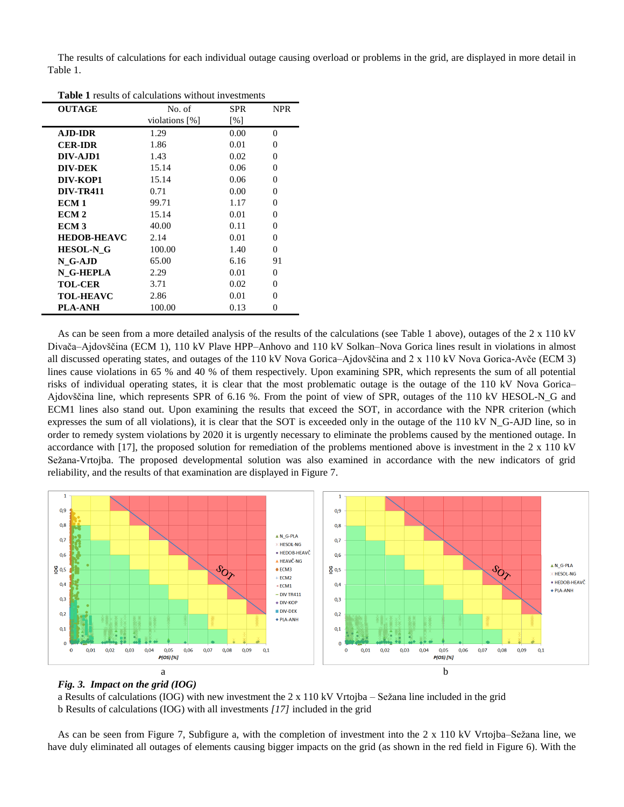The results of calculations for each individual outage causing overload or problems in the grid, are displayed in more detail in Table 1.

| <b>OUTAGE</b>      | No. of         | <b>SPR</b>         | <b>NPR</b> |
|--------------------|----------------|--------------------|------------|
|                    | violations [%] | $\lceil \% \rceil$ |            |
| <b>AJD-IDR</b>     | 1.29           | 0.00               | $\Omega$   |
| <b>CER-IDR</b>     | 1.86           | 0.01               | 0          |
| DIV-AJD1           | 1.43           | 0.02               | 0          |
| <b>DIV-DEK</b>     | 15.14          | 0.06               | $\Omega$   |
| DIV-KOP1           | 15.14          | 0.06               | $\Omega$   |
| <b>DIV-TR411</b>   | 0.71           | 0.00               | $\Omega$   |
| ECM 1              | 99.71          | 1.17               | $\Omega$   |
| ECM <sub>2</sub>   | 15.14          | 0.01               | $\Omega$   |
| ECM <sub>3</sub>   | 40.00          | 0.11               | 0          |
| <b>HEDOB-HEAVC</b> | 2.14           | 0.01               | $\theta$   |
| <b>HESOL-N G</b>   | 100.00         | 1.40               | $\Omega$   |
| N G-AJD            | 65.00          | 6.16               | 91         |
| N G-HEPLA          | 2.29           | 0.01               | $\Omega$   |
| <b>TOL-CER</b>     | 3.71           | 0.02               | $\theta$   |
| TOL-HEAVC          | 2.86           | 0.01               | 0          |
| PLA-ANH            | 100.00         | 0.13               | $\Omega$   |

**Table 1** results of calculations without investments

As can be seen from a more detailed analysis of the results of the calculations (see Table 1 above), outages of the 2 x 110 kV Divača–Ajdovščina (ECM 1), 110 kV Plave HPP–Anhovo and 110 kV Solkan–Nova Gorica lines result in violations in almost all discussed operating states, and outages of the 110 kV Nova Gorica–Ajdovščina and 2 x 110 kV Nova Gorica-Avče (ECM 3) lines cause violations in 65 % and 40 % of them respectively. Upon examining SPR, which represents the sum of all potential risks of individual operating states, it is clear that the most problematic outage is the outage of the 110 kV Nova Gorica– Ajdovščina line, which represents SPR of 6.16 %. From the point of view of SPR, outages of the 110 kV HESOL-N\_G and ECM1 lines also stand out. Upon examining the results that exceed the SOT, in accordance with the NPR criterion (which expresses the sum of all violations), it is clear that the SOT is exceeded only in the outage of the 110 kV N\_G-AJD line, so in order to remedy system violations by 2020 it is urgently necessary to eliminate the problems caused by the mentioned outage. In accordance with [\[17\],](#page-11-8) the proposed solution for remediation of the problems mentioned above is investment in the 2 x 110 kV Sežana-Vrtojba. The proposed developmental solution was also examined in accordance with the new indicators of grid reliability, and the results of that examination are displayed in Figure 7.



## *Fig. 3. Impact on the grid (IOG)*

a Results of calculations (IOG) with new investment the 2 x 110 kV Vrtojba – Sežana line included in the grid b Results of calculations (IOG) with all investments *[\[17\]](#page-11-8)* included in the grid

As can be seen from Figure 7, Subfigure a, with the completion of investment into the 2 x 110 kV Vrtojba–Sežana line, we have duly eliminated all outages of elements causing bigger impacts on the grid (as shown in the red field in Figure 6). With the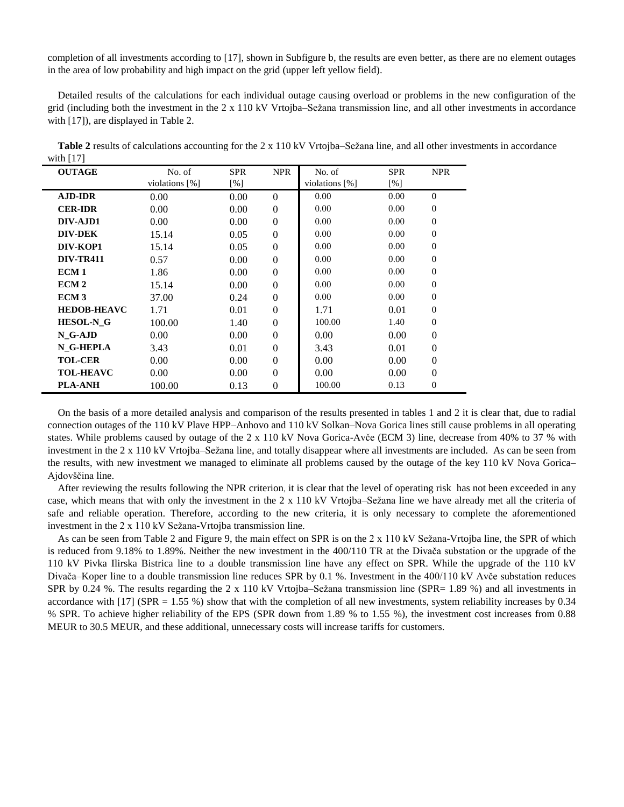completion of all investments according to [\[17\],](#page-11-8) shown in Subfigure b, the results are even better, as there are no element outages in the area of low probability and high impact on the grid (upper left yellow field).

Detailed results of the calculations for each individual outage causing overload or problems in the new configuration of the grid (including both the investment in the 2 x 110 kV Vrtojba–Sežana transmission line, and all other investments in accordance with [\[17\]\)](#page-11-8), are displayed in Table 2.

| Table 2 results of calculations accounting for the 2 x 110 kV Vrtojba–Sežana line, and all other investments in accordance |  |
|----------------------------------------------------------------------------------------------------------------------------|--|
| with $[17]$                                                                                                                |  |

| <b>OUTAGE</b>      | No. of         | <b>SPR</b>         | <b>NPR</b> | No. of         | <b>SPR</b> | <b>NPR</b> |
|--------------------|----------------|--------------------|------------|----------------|------------|------------|
|                    | violations [%] | $\lceil \% \rceil$ |            | violations [%] | [%]        |            |
| <b>AJD-IDR</b>     | 0.00           | 0.00               | $\Omega$   | 0.00           | 0.00       | $\Omega$   |
| <b>CER-IDR</b>     | 0.00           | 0.00               | $\Omega$   | 0.00           | 0.00       | $\Omega$   |
| DIV-AJD1           | 0.00           | 0.00               | $\theta$   | 0.00           | 0.00       | $\Omega$   |
| <b>DIV-DEK</b>     | 15.14          | 0.05               | $\theta$   | 0.00           | 0.00       | $\Omega$   |
| DIV-KOP1           | 15.14          | 0.05               | $\theta$   | 0.00           | 0.00       | $\Omega$   |
| <b>DIV-TR411</b>   | 0.57           | 0.00               | $\theta$   | 0.00           | 0.00       | $\Omega$   |
| ECM <sub>1</sub>   | 1.86           | 0.00               | $\theta$   | 0.00           | 0.00       | $\Omega$   |
| ECM <sub>2</sub>   | 15.14          | 0.00               | $\theta$   | 0.00           | 0.00       | $\Omega$   |
| ECM <sub>3</sub>   | 37.00          | 0.24               | $\theta$   | 0.00           | 0.00       | $\Omega$   |
| <b>HEDOB-HEAVC</b> | 1.71           | 0.01               | $\theta$   | 1.71           | 0.01       | $\Omega$   |
| <b>HESOL-N G</b>   | 100.00         | 1.40               | $\theta$   | 100.00         | 1.40       | $\Omega$   |
| N G-AJD            | 0.00           | 0.00               | $\theta$   | 0.00           | 0.00       | $\Omega$   |
| N G-HEPLA          | 3.43           | 0.01               | $\theta$   | 3.43           | 0.01       | $\Omega$   |
| <b>TOL-CER</b>     | 0.00           | 0.00               | $\theta$   | 0.00           | 0.00       | $\Omega$   |
| <b>TOL-HEAVC</b>   | 0.00           | 0.00               | $\Omega$   | 0.00           | 0.00       | $\Omega$   |
| <b>PLA-ANH</b>     | 100.00         | 0.13               | 0          | 100.00         | 0.13       | $\Omega$   |

On the basis of a more detailed analysis and comparison of the results presented in tables 1 and 2 it is clear that, due to radial connection outages of the 110 kV Plave HPP–Anhovo and 110 kV Solkan–Nova Gorica lines still cause problems in all operating states. While problems caused by outage of the 2 x 110 kV Nova Gorica-Avče (ECM 3) line, decrease from 40% to 37 % with investment in the 2 x 110 kV Vrtojba–Sežana line, and totally disappear where all investments are included. As can be seen from the results, with new investment we managed to eliminate all problems caused by the outage of the key 110 kV Nova Gorica– Ajdovščina line.

After reviewing the results following the NPR criterion, it is clear that the level of operating risk has not been exceeded in any case, which means that with only the investment in the 2 x 110 kV Vrtojba–Sežana line we have already met all the criteria of safe and reliable operation. Therefore, according to the new criteria, it is only necessary to complete the aforementioned investment in the 2 x 110 kV Sežana-Vrtojba transmission line.

As can be seen from Table 2 and Figure 9, the main effect on SPR is on the 2 x 110 kV Sežana-Vrtojba line, the SPR of which is reduced from 9.18% to 1.89%. Neither the new investment in the 400/110 TR at the Divača substation or the upgrade of the 110 kV Pivka Ilirska Bistrica line to a double transmission line have any effect on SPR. While the upgrade of the 110 kV Divača–Koper line to a double transmission line reduces SPR by 0.1 %. Investment in the 400/110 kV Avče substation reduces SPR by 0.24 %. The results regarding the 2 x 110 kV Vrtojba–Sežana transmission line (SPR= 1.89 %) and all investments in accordance with [\[17\]](#page-11-8) (SPR = 1.55 %) show that with the completion of all new investments, system reliability increases by 0.34 % SPR. To achieve higher reliability of the EPS (SPR down from 1.89 % to 1.55 %), the investment cost increases from 0.88 MEUR to 30.5 MEUR, and these additional, unnecessary costs will increase tariffs for customers.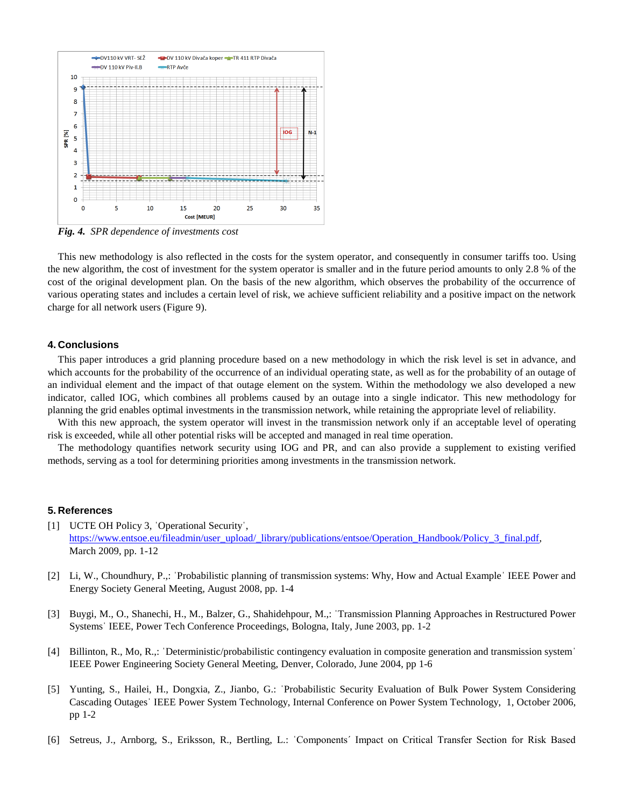

*Fig. 4. SPR dependence of investments cost* 

This new methodology is also reflected in the costs for the system operator, and consequently in consumer tariffs too. Using the new algorithm, the cost of investment for the system operator is smaller and in the future period amounts to only 2.8 % of the cost of the original development plan. On the basis of the new algorithm, which observes the probability of the occurrence of various operating states and includes a certain level of risk, we achieve sufficient reliability and a positive impact on the network charge for all network users (Figure 9).

## **4. Conclusions**

This paper introduces a grid planning procedure based on a new methodology in which the risk level is set in advance, and which accounts for the probability of the occurrence of an individual operating state, as well as for the probability of an outage of an individual element and the impact of that outage element on the system. Within the methodology we also developed a new indicator, called IOG, which combines all problems caused by an outage into a single indicator. This new methodology for planning the grid enables optimal investments in the transmission network, while retaining the appropriate level of reliability.

With this new approach, the system operator will invest in the transmission network only if an acceptable level of operating risk is exceeded, while all other potential risks will be accepted and managed in real time operation.

The methodology quantifies network security using IOG and PR, and can also provide a supplement to existing verified methods, serving as a tool for determining priorities among investments in the transmission network.

#### **5. References**

- <span id="page-10-0"></span>[1] UCTE OH Policy 3, 'Operational Security', [https://www.entsoe.eu/fileadmin/user\\_upload/\\_library/publications/entsoe/Operation\\_Handbook/Policy\\_3\\_final.pdf,](https://www.entsoe.eu/fileadmin/user_upload/_library/publications/entsoe/Operation_Handbook/Policy_3_final.pdf) March 2009, pp. 1-12
- <span id="page-10-1"></span>[2] Li, W., Choundhury, P.,: ˈProbabilistic planning of transmission systems: Why, How and Actual Exampleˈ IEEE Power and Energy Society General Meeting, August 2008, pp. 1-4
- <span id="page-10-2"></span>[3] Buygi, M., O., Shanechi, H., M., Balzer, G., Shahidehpour, M.,: ˈTransmission Planning Approaches in Restructured Power Systemsˈ IEEE, Power Tech Conference Proceedings, Bologna, Italy, June 2003, pp. 1-2
- <span id="page-10-3"></span>[4] Billinton, R., Mo, R.,: ˈDeterministic/probabilistic contingency evaluation in composite generation and transmission systemˈ IEEE Power Engineering Society General Meeting, Denver, Colorado, June 2004, pp 1-6
- <span id="page-10-4"></span>[5] Yunting, S., Hailei, H., Dongxia, Z., Jianbo, G.: ˈProbabilistic Security Evaluation of Bulk Power System Considering Cascading Outagesˈ IEEE Power System Technology, Internal Conference on Power System Technology, 1, October 2006, pp 1-2
- <span id="page-10-5"></span>[6] Setreus, J., Arnborg, S., Eriksson, R., Bertling, L.: ˈComponents´ Impact on Critical Transfer Section for Risk Based